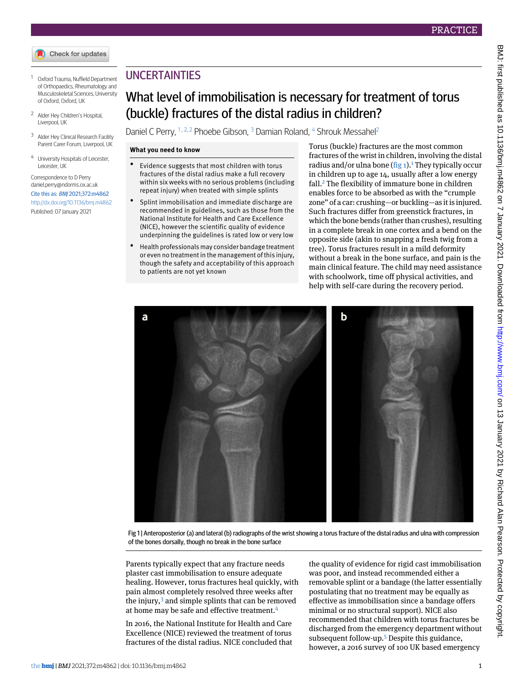- <span id="page-0-0"></span><sup>1</sup> Oxford Trauma, Nuffield Department of Orthopaedics, Rheumatology and Musculoskeletal Sciences, University of Oxford, Oxford, UK
- <span id="page-0-2"></span><span id="page-0-1"></span><sup>2</sup> Alder Hey Children's Hospital, Liverpool, UK
- <span id="page-0-3"></span><sup>3</sup> Alder Hey Clinical Research Facility Parent Carer Forum, Liverpool, UK
- University Hospitals of Leicester, Leicester, UK

Correspondence to D Perry [daniel.perry@ndorms.ox.ac.uk](mailto:daniel.perry@ndorms.ox.ac.uk) Cite this as: BMJ 2021;372:m4862 <http://dx.doi.org/10.1136/bmj.m4862> Published: 07 January 2021

# UNCERTAINTIES

# What level of immobilisation is necessary for treatment of torus (buckle) fractures of the distal radius in children?

Daniel C Perry, <sup>[1](#page-0-0), [2](#page-0-1), 2</sup> Phoebe Gibson, <sup>[3](#page-0-2)</sup> Damian Roland, <sup>[4](#page-0-3)</sup> Shrouk Messahel<sup>2</sup>

## **What you need to know**

- Evidence suggests that most children with torus fractures of the distal radius make a full recovery within six weeks with no serious problems (including repeat injury) when treated with simple splints
- Splint immobilisation and immediate discharge are recommended in guidelines, such as those from the National Institute for Health and Care Excellence (NICE), however the scientific quality of evidence underpinning the guidelines is rated low or very low
- Health professionals may consider bandage treatment or even no treatment in the management of this injury, though the safety and acceptability of this approach to patients are not yet known

Torus (buckle) fractures are the most common fractures of the wrist in children, involving the distal radius and/or ulna bone  $(fig_1)$  $(fig_1)$  $(fig_1)$ .<sup>1</sup> They typically occur in children up to age 14, usually after a low energy fall.[2](#page-5-1) The flexibility of immature bone in children enables force to be absorbed as with the "crumple zone" of a car: crushing—or buckling—as it is injured. Such fractures differ from greenstick fractures, in which the bone bends (rather than crushes), resulting in a complete break in one cortex and a bend on the opposite side (akin to snapping a fresh twig from a tree). Torus fractures result in a mild deformity without a break in the bone surface, and pain is the main clinical feature. The child may need assistance with schoolwork, time off physical activities, and help with self-care during the recovery period.

<span id="page-0-4"></span>

Fig 1 | Anteroposterior (a) and lateral (b) radiographs of the wrist showing a torus fracture of the distal radius and ulna with compression of the bones dorsally, though no break in the bone surface

Parents typically expect that any fracture needs plaster cast immobilisation to ensure adequate healing. However, torus fractures heal quickly, with pain almost completely resolved three weeks after the injury, $3$  and simple splints that can be removed at home may be safe and effective treatment.<sup>[4](#page-5-3)</sup>

In 2016, the National Institute for Health and Care Excellence (NICE) reviewed the treatment of torus fractures of the distal radius. NICE concluded that

the quality of evidence for rigid cast immobilisation was poor, and instead recommended either a removable splint or a bandage (the latter essentially postulating that no treatment may be equally as effective as immobilisation since a bandage offers minimal or no structural support). NICE also recommended that children with torus fractures be discharged from the emergency department without subsequent follow-up.[5](#page-5-4) Despite this guidance, however, a 2016 survey of 100 UK based emergency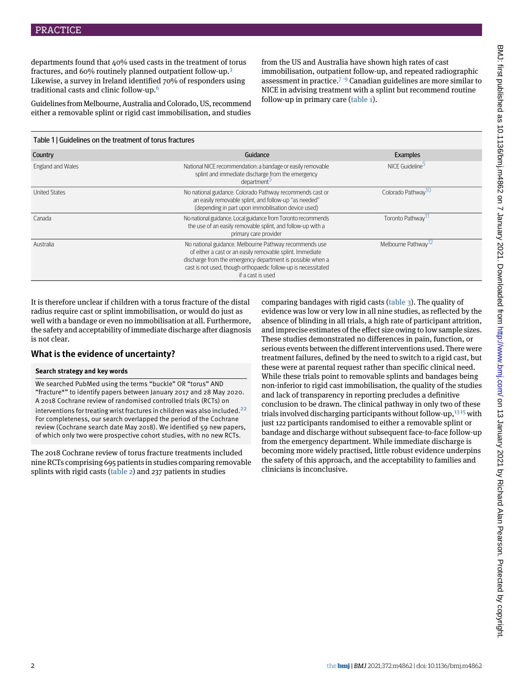departments found that 40% used casts in the treatment of torus fractures, and 60% routinely planned outpatient follow-up.[3](#page-5-2) Likewise, a survey in Ireland identified 70% of responders using traditional casts and clinic follow-up.[6](#page-5-5)

Guidelines from Melbourne, Australia and Colorado, US, recommend either a removable splint or rigid cast immobilisation, and studies

from the US and Australia have shown high rates of cast immobilisation, outpatient follow-up, and repeated radiographic assessment in practice.<sup> $7-9$  $7-9$  $7-9$ </sup> Canadian guidelines are more similar to NICE in advising treatment with a splint but recommend routine follow-up in primary care [\(table 1\)](#page-1-0).

<span id="page-1-0"></span>

| Table 1   Guidelines on the treatment of torus fractures |                                                                                                                                                                                                                                                                          |                                 |  |  |  |
|----------------------------------------------------------|--------------------------------------------------------------------------------------------------------------------------------------------------------------------------------------------------------------------------------------------------------------------------|---------------------------------|--|--|--|
| Country                                                  | Guidance                                                                                                                                                                                                                                                                 | <b>Examples</b>                 |  |  |  |
| England and Wales                                        | National NICE recommendation: a bandage or easily removable<br>splint and immediate discharge from the emergency<br>department <sup>5</sup>                                                                                                                              | NICE Guideline <sup>5</sup>     |  |  |  |
| <b>United States</b>                                     | No national guidance. Colorado Pathway recommends cast or<br>an easily removable splint, and follow-up "as needed"<br>(depending in part upon immobilisation device used)                                                                                                | Colorado Pathway <sup>10</sup>  |  |  |  |
| Canada                                                   | No national guidance. Local guidance from Toronto recommends<br>the use of an easily removable splint, and follow-up with a<br>primary care provider                                                                                                                     | Toronto Pathway <sup>TI</sup>   |  |  |  |
| Australia                                                | No national guidance. Melbourne Pathway recommends use<br>of either a cast or an easily removable splint. Immediate<br>discharge from the emergency department is possible when a<br>cast is not used, though orthopaedic follow-up is necessitated<br>if a cast is used | Melbourne Pathway <sup>12</sup> |  |  |  |

It is therefore unclear if children with a torus fracture of the distal radius require cast or splint immobilisation, or would do just as well with a bandage or even no immobilisation at all. Furthermore, the safety and acceptability of immediate discharge after diagnosis is not clear.

## **What is the evidence of uncertainty?**

## **Search strategy and key words**

We searched PubMed using the terms "buckle" OR "torus" AND "fracture\*" to identify papers between January 2017 and 28 May 2020. A 2018 Cochrane review of randomised controlled trials (RCTs) on interventions for treating wrist fractures in children was also included.<sup>[22](#page-5-12)</sup> For completeness, our search overlapped the period of the Cochrane review (Cochrane search date May 2018). We identified 59 new papers, of which only two were prospective cohort studies, with no new RCTs.

The 2018 Cochrane review of torus fracture treatments included nine RCTs comprising 695 patients in studies comparing removable splints with rigid casts [\(table 2\)](#page-2-0) and 237 patients in studies

comparing bandages with rigid casts [\(table 3](#page-4-0)). The quality of evidence was low or very low in all nine studies, as reflected by the absence of blinding in all trials, a high rate of participant attrition, and imprecise estimates of the effect size owing to low sample sizes. These studies demonstrated no differences in pain, function, or serious events between the different interventions used. There were treatment failures, defined by the need to switch to a rigid cast, but these were at parental request rather than specific clinical need. While these trials point to removable splints and bandages being non-inferior to rigid cast immobilisation, the quality of the studies and lack of transparency in reporting precludes a definitive conclusion to be drawn. The clinical pathway in only two of these trials involved discharging participants without follow-up, $1315$  $1315$  with just 122 participants randomised to either a removable splint or bandage and discharge without subsequent face-to-face follow-up from the emergency department. While immediate discharge is becoming more widely practised, little robust evidence underpins the safety of this approach, and the acceptability to families and clinicians is inconclusive.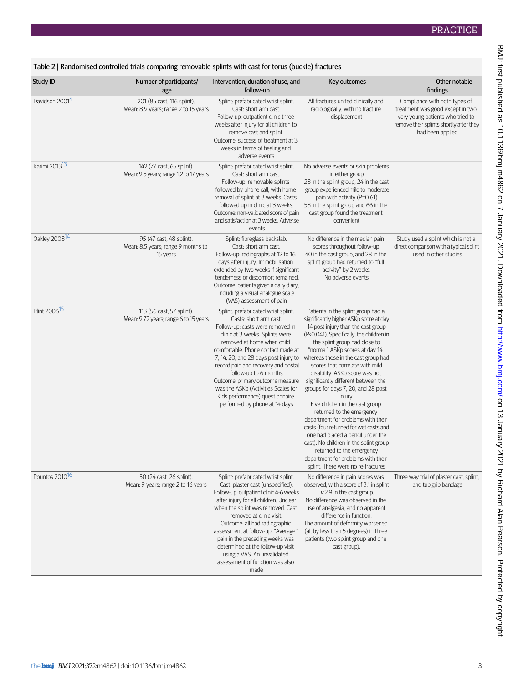<span id="page-2-0"></span>

| Study ID                   | Number of participants/                                                    | Intervention, duration of use, and                                                                                                                                                                                                                                                                                                                                                                                                                                | Key outcomes                                                                                                                                                                                                                                                                                                                                                                                                                                                                                                                                                                                                                                                                                                                                                                   | Other notable                                                                                                                                                                    |
|----------------------------|----------------------------------------------------------------------------|-------------------------------------------------------------------------------------------------------------------------------------------------------------------------------------------------------------------------------------------------------------------------------------------------------------------------------------------------------------------------------------------------------------------------------------------------------------------|--------------------------------------------------------------------------------------------------------------------------------------------------------------------------------------------------------------------------------------------------------------------------------------------------------------------------------------------------------------------------------------------------------------------------------------------------------------------------------------------------------------------------------------------------------------------------------------------------------------------------------------------------------------------------------------------------------------------------------------------------------------------------------|----------------------------------------------------------------------------------------------------------------------------------------------------------------------------------|
| Davidson 2001 <sup>4</sup> | age<br>201 (85 cast, 116 splint).<br>Mean: 8.9 years; range 2 to 15 years  | follow-up<br>Splint: prefabricated wrist splint.<br>Cast: short arm cast.<br>Follow-up: outpatient clinic three<br>weeks after injury for all children to<br>remove cast and splint.<br>Outcome: success of treatment at 3<br>weeks in terms of healing and<br>adverse events                                                                                                                                                                                     | All fractures united clinically and<br>radiologically, with no fracture<br>displacement                                                                                                                                                                                                                                                                                                                                                                                                                                                                                                                                                                                                                                                                                        | findings<br>Compliance with both types of<br>treatment was good except in two<br>very young patients who tried to<br>remove their splints shortly after they<br>had been applied |
| Karimi 2013 <sup>13</sup>  | 142 (77 cast, 65 splint).<br>Mean: 9.5 years; range 1.2 to 17 years        | Splint: prefabricated wrist splint.<br>Cast: short arm cast.<br>Follow-up: removable splints<br>followed by phone call, with home<br>removal of splint at 3 weeks. Casts<br>followed up in clinic at 3 weeks.<br>Outcome: non-validated score of pain<br>and satisfaction at 3 weeks. Adverse<br>events                                                                                                                                                           | No adverse events or skin problems<br>in either group.<br>28 in the splint group, 24 in the cast<br>group experienced mild to moderate<br>pain with activity (P=0.61).<br>58 in the splint group and 66 in the<br>cast group found the treatment<br>convenient                                                                                                                                                                                                                                                                                                                                                                                                                                                                                                                 |                                                                                                                                                                                  |
| Oakley 2008 <sup>14</sup>  | 95 (47 cast, 48 splint).<br>Mean: 8.5 years; range 9 months to<br>15 years | Splint: fibreglass backslab.<br>Cast: short arm cast.<br>Follow-up: radiographs at 12 to 16<br>days after injury. Immobilisation<br>extended by two weeks if significant<br>tenderness or discomfort remained.<br>Outcome: patients given a daily diary,<br>including a visual analogue scale<br>(VAS) assessment of pain                                                                                                                                         | No difference in the median pain<br>scores throughout follow-up.<br>40 in the cast group, and 28 in the<br>splint group had returned to "full<br>activity" by 2 weeks.<br>No adverse events                                                                                                                                                                                                                                                                                                                                                                                                                                                                                                                                                                                    | Study used a splint which is not a<br>direct comparison with a typical splint<br>used in other studies                                                                           |
| Plint 2006 <sup>15</sup>   | 113 (56 cast, 57 splint).<br>Mean: 9.72 years; range 6 to 15 years         | Splint: prefabricated wrist splint.<br>Casts: short arm cast.<br>Follow-up: casts were removed in<br>clinic at 3 weeks. Splints were<br>removed at home when child<br>comfortable. Phone contact made at<br>7, 14, 20, and 28 days post injury to<br>record pain and recovery and postal<br>follow-up to 6 months.<br>Outcome: primary outcome measure<br>was the ASKp (Activities Scales for<br>Kids performance) questionnaire<br>performed by phone at 14 days | Patients in the splint group had a<br>significantly higher ASKp score at day<br>14 post injury than the cast group<br>(P<0.041). Specifically, the children in<br>the splint group had close to<br>"normal" ASKp scores at day 14,<br>whereas those in the cast group had<br>scores that correlate with mild<br>disability. ASKp score was not<br>significantly different between the<br>groups for days 7, 20, and 28 post<br>injury.<br>Five children in the cast group<br>returned to the emergency<br>department for problems with their<br>casts (four returned for wet casts and<br>one had placed a pencil under the<br>cast). No children in the splint group<br>returned to the emergency<br>department for problems with their<br>splint. There were no re-fractures |                                                                                                                                                                                  |
| Pountos 2010 <sup>16</sup> | 50 (24 cast, 26 splint).<br>Mean: 9 years; range 2 to 16 years             | Splint: prefabricated wrist splint.<br>Cast: plaster cast (unspecified).<br>Follow-up: outpatient clinic 4-6 weeks<br>after injury for all children. Unclear<br>when the splint was removed. Cast<br>removed at clinic visit.<br>Outcome: all had radiographic<br>assessment at follow-up. "Average"<br>pain in the preceding weeks was<br>determined at the follow-up visit<br>using a VAS. An unvalidated<br>assessment of function was also<br>made            | No difference in pain scores was<br>observed, with a score of 3.1 in splint<br>$v$ 2.9 in the cast group.<br>No difference was observed in the<br>use of analgesia, and no apparent<br>difference in function.<br>The amount of deformity worsened<br>(all by less than 5 degrees) in three<br>patients (two splint group and one<br>cast group).                                                                                                                                                                                                                                                                                                                                                                                                                              | Three way trial of plaster cast, splint,<br>and tubigrip bandage                                                                                                                 |

BMJ: first published as 10.1136/bmj.m4862 on 7 January 2021. Downloaded from http://www.bmj.com/ on 13 January 2021 by Richard Alan Pearson. Protected by copyright. BMJ: first published as 10.1136/bmj.m4862 on 7 January 2021. Downloaded from <http://www.bmj.com/> on 13 January 2021 by Richard Alan Pearson. Protected by copyright.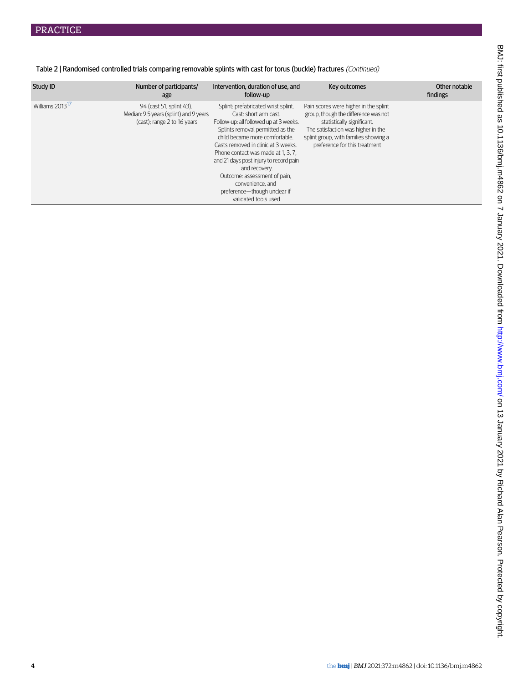| Study ID                    | Number of participants/<br>age                                                                    | Intervention, duration of use, and<br>follow-up                                                                                                                                                                                                                                                                                                                                                                                  | Key outcomes                                                                                                                                                                                                                | Other notable<br>findings |
|-----------------------------|---------------------------------------------------------------------------------------------------|----------------------------------------------------------------------------------------------------------------------------------------------------------------------------------------------------------------------------------------------------------------------------------------------------------------------------------------------------------------------------------------------------------------------------------|-----------------------------------------------------------------------------------------------------------------------------------------------------------------------------------------------------------------------------|---------------------------|
| Williams 2013 <sup>1/</sup> | 94 (cast 51, splint 43).<br>Median: 9.5 years (splint) and 9 years<br>(cast); range 2 to 16 years | Splint: prefabricated wrist splint.<br>Cast: short arm cast.<br>Follow-up: all followed up at 3 weeks.<br>Splints removal permitted as the<br>child became more comfortable.<br>Casts removed in clinic at 3 weeks.<br>Phone contact was made at 1, 3, 7.<br>and 21 days post injury to record pain<br>and recovery.<br>Outcome: assessment of pain,<br>convenience, and<br>preference-though unclear if<br>validated tools used | Pain scores were higher in the splint<br>group, though the difference was not<br>statistically significant.<br>The satisfaction was higher in the<br>splint group, with families showing a<br>preference for this treatment |                           |

Table 2 | Randomised controlled trials comparing removable splints with cast for torus (buckle) fractures (Continued)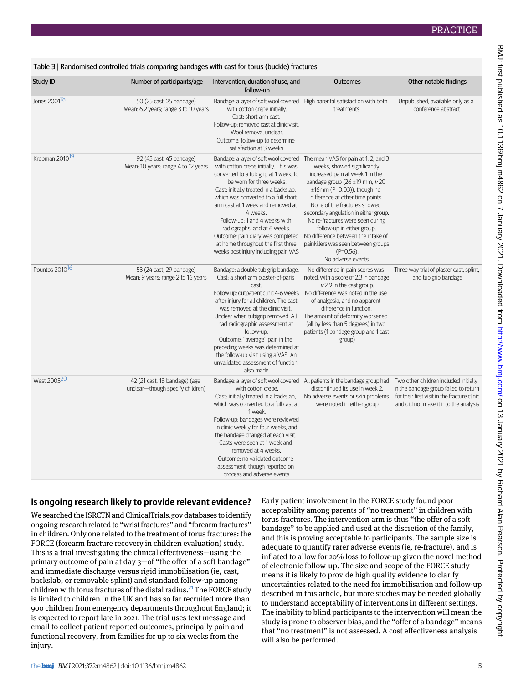<span id="page-4-0"></span>

| Table 3   Randomised controlled trials comparing bandages with cast for torus (buckle) fractures |                                                                   |                                                                                                                                                                                                                                                                                                                                                                                                                                                                           |                                                                                                                                                                                                                                                                                                                                                                                                                                                                                           |                                                                                                                                                                         |
|--------------------------------------------------------------------------------------------------|-------------------------------------------------------------------|---------------------------------------------------------------------------------------------------------------------------------------------------------------------------------------------------------------------------------------------------------------------------------------------------------------------------------------------------------------------------------------------------------------------------------------------------------------------------|-------------------------------------------------------------------------------------------------------------------------------------------------------------------------------------------------------------------------------------------------------------------------------------------------------------------------------------------------------------------------------------------------------------------------------------------------------------------------------------------|-------------------------------------------------------------------------------------------------------------------------------------------------------------------------|
| Study ID                                                                                         | Number of participants/age                                        | Intervention, duration of use, and<br>follow-up                                                                                                                                                                                                                                                                                                                                                                                                                           | <b>Outcomes</b>                                                                                                                                                                                                                                                                                                                                                                                                                                                                           | Other notable findings                                                                                                                                                  |
| Jones 2001 <sup>18</sup>                                                                         | 50 (25 cast, 25 bandage)<br>Mean: 6.2 years; range 3 to 10 years  | Bandage: a layer of soft wool covered<br>with cotton crepe initially.<br>Cast: short arm cast.<br>Follow-up: removed cast at clinic visit.<br>Wool removal unclear.<br>Outcome: follow-up to determine<br>satisfaction at 3 weeks                                                                                                                                                                                                                                         | High parental satisfaction with both<br>treatments                                                                                                                                                                                                                                                                                                                                                                                                                                        | Unpublished, available only as a<br>conference abstract                                                                                                                 |
| Kropman 2010 <sup>19</sup>                                                                       | 92 (45 cast, 45 bandage)<br>Mean: 10 years; range 4 to 12 years   | Bandage: a layer of soft wool covered<br>with cotton crepe initially. This was<br>converted to a tubigrip at 1 week, to<br>be worn for three weeks.<br>Cast: initially treated in a backslab,<br>which was converted to a full short<br>arm cast at 1 week and removed at<br>4 weeks.<br>Follow-up: 1 and 4 weeks with<br>radiographs, and at 6 weeks.<br>Outcome: pain diary was completed<br>at home throughout the first three<br>weeks post injury including pain VAS | The mean VAS for pain at 1, 2, and 3<br>weeks, showed significantly<br>increased pain at week 1 in the<br>bandage group $(26 \pm 19 \text{ mm}, v 20)$<br>$±16$ mm (P=0.03)), though no<br>difference at other time points.<br>None of the fractures showed<br>secondary angulation in either group.<br>No re-fractures were seen during<br>follow-up in either group.<br>No difference between the intake of<br>painkillers was seen between groups<br>$(P=0.56)$ .<br>No adverse events |                                                                                                                                                                         |
| Pountos 2010 <sup>16</sup>                                                                       | 53 (24 cast, 29 bandage)<br>Mean: 9 years; range 2 to 16 years    | Bandage: a double tubigrip bandage.<br>Cast: a short arm plaster-of-paris<br>cast.<br>Follow up: outpatient clinic 4-6 weeks<br>after injury for all children. The cast<br>was removed at the clinic visit.<br>Unclear when tubigrip removed. All<br>had radiographic assessment at<br>follow-up.<br>Outcome: "average" pain in the<br>preceding weeks was determined at<br>the follow-up visit using a VAS. An<br>unvalidated assessment of function<br>also made        | No difference in pain scores was<br>noted, with a score of 2.3 in bandage<br>$v$ 2.9 in the cast group.<br>No difference was noted in the use<br>of analgesia, and no apparent<br>difference in function.<br>The amount of deformity worsened<br>(all by less than 5 degrees) in two<br>patients (1 bandage group and 1 cast<br>group)                                                                                                                                                    | Three way trial of plaster cast, splint,<br>and tubigrip bandage                                                                                                        |
| West 2005 <sup>20</sup>                                                                          | 42 (21 cast, 18 bandage) (age<br>unclear-though specify children) | with cotton crepe.<br>Cast: initially treated in a backslab,<br>which was converted to a full cast at<br>1 week.<br>Follow-up: bandages were reviewed<br>in clinic weekly for four weeks, and<br>the bandage changed at each visit.<br>Casts were seen at 1 week and<br>removed at 4 weeks.<br>Outcome: no validated outcome<br>assessment, though reported on<br>process and adverse events                                                                              | Bandage: a layer of soft wool covered All patients in the bandage group had<br>discontinued its use in week 2.<br>No adverse events or skin problems<br>were noted in either group                                                                                                                                                                                                                                                                                                        | Two other children included initially<br>in the bandage group failed to return<br>for their first visit in the fracture clinic<br>and did not make it into the analysis |

## **Is ongoing research likely to provide relevant evidence?**

We searched the ISRCTN and ClinicalTrials.gov databases to identify ongoing research related to "wrist fractures" and "forearm fractures" in children. Only one related to the treatment of torus fractures: the FORCE (forearm fracture recovery in children evaluation) study. This is a trial investigating the clinical effectiveness—using the primary outcome of pain at day 3—of "the offer of a soft bandage" and immediate discharge versus rigid immobilisation (ie, cast, backslab, or removable splint) and standard follow-up among children with torus fractures of the distal radius.<sup>[21](#page-5-21)</sup> The FORCE study is limited to children in the UK and has so far recruited more than 900 children from emergency departments throughout England; it is expected to report late in 2021. The trial uses text message and email to collect patient reported outcomes, principally pain and functional recovery, from families for up to six weeks from the injury.

Early patient involvement in the FORCE study found poor acceptability among parents of "no treatment" in children with torus fractures. The intervention arm is thus "the offer of a soft bandage" to be applied and used at the discretion of the family, and this is proving acceptable to participants. The sample size is adequate to quantify rarer adverse events (ie, re-fracture), and is inflated to allow for 20% loss to follow-up given the novel method of electronic follow-up. The size and scope of the FORCE study means it is likely to provide high quality evidence to clarify uncertainties related to the need for immobilisation and follow-up described in this article, but more studies may be needed globally to understand acceptability of interventions in different settings. The inability to blind participants to the intervention will mean the study is prone to observer bias, and the "offer of a bandage" means that "no treatment" is not assessed. A cost effectiveness analysis will also be performed.